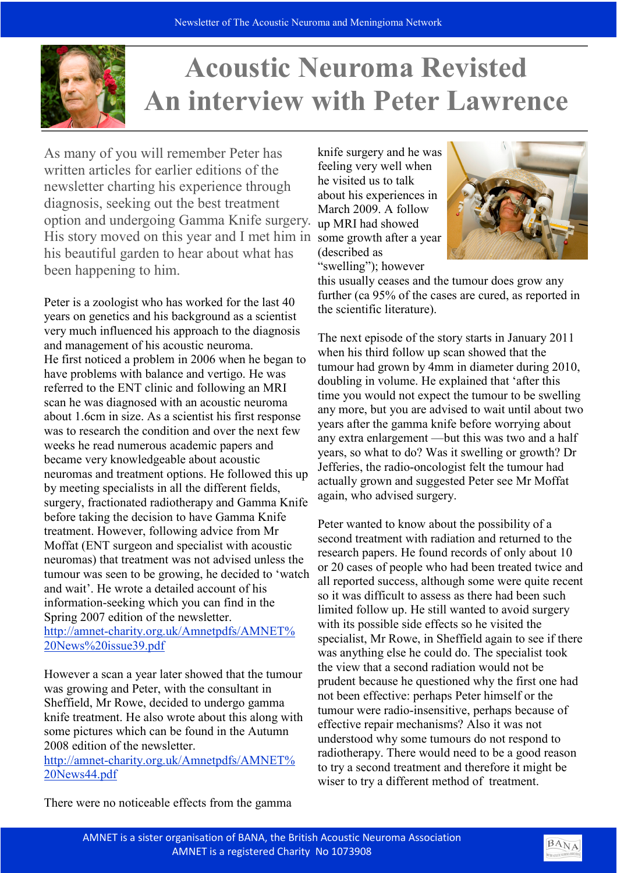

## **Acoustic Neuroma Revisted** An interview with Peter Lawrence

As many of you will remember Peter has written articles for earlier editions of the newsletter charting his experience through diagnosis, seeking out the best treatment option and undergoing Gamma Knife surgery. His story moved on this year and I met him in his beautiful garden to hear about what has been happening to him.

Peter is a zoologist who has worked for the last 40 years on genetics and his background as a scientist very much influenced his approach to the diagnosis and management of his acoustic neuroma. He first noticed a problem in 2006 when he began to have problems with balance and vertigo. He was referred to the ENT clinic and following an MRI scan he was diagnosed with an acoustic neuroma about 1.6cm in size. As a scientist his first response was to research the condition and over the next few weeks he read numerous academic papers and became very knowledgeable about acoustic neuromas and treatment options. He followed this up by meeting specialists in all the different fields, surgery, fractionated radiotherapy and Gamma Knife before taking the decision to have Gamma Knife treatment. However, following advice from Mr Moffat (ENT surgeon and specialist with acoustic neuromas) that treatment was not advised unless the tumour was seen to be growing, he decided to 'watch and wait'. He wrote a detailed account of his information-seeking which you can find in the Spring 2007 edition of the newsletter. http://amnet-charity.org.uk/Amnetpdfs/AMNET% 20News%20issue39.pdf

However a scan a year later showed that the tumour was growing and Peter, with the consultant in Sheffield, Mr Rowe, decided to undergo gamma knife treatment. He also wrote about this along with some pictures which can be found in the Autumn 2008 edition of the newsletter.

http://amnet-charity.org.uk/Amnetpdfs/AMNET% 20News44.pdf

knife surgery and he was feeling very well when he visited us to talk about his experiences in March 2009. A follow up MRI had showed some growth after a year (described as "swelling"); however



this usually ceases and the tumour does grow any further (ca 95% of the cases are cured, as reported in the scientific literature).

The next episode of the story starts in January 2011 when his third follow up scan showed that the tumour had grown by 4mm in diameter during 2010, doubling in volume. He explained that 'after this time you would not expect the tumour to be swelling any more, but you are advised to wait until about two years after the gamma knife before worrying about any extra enlargement —but this was two and a half years, so what to do? Was it swelling or growth? Dr Jefferies, the radio-oncologist felt the tumour had actually grown and suggested Peter see Mr Moffat again, who advised surgery.

Peter wanted to know about the possibility of a second treatment with radiation and returned to the research papers. He found records of only about 10 or 20 cases of people who had been treated twice and all reported success, although some were quite recent so it was difficult to assess as there had been such limited follow up. He still wanted to avoid surgery with its possible side effects so he visited the specialist, Mr Rowe, in Sheffield again to see if there was anything else he could do. The specialist took the view that a second radiation would not be prudent because he questioned why the first one had not been effective: perhaps Peter himself or the tumour were radio-insensitive, perhaps because of effective repair mechanisms? Also it was not understood why some tumours do not respond to radiotherapy. There would need to be a good reason to try a second treatment and therefore it might be wiser to try a different method of treatment.

There were no noticeable effects from the gamma

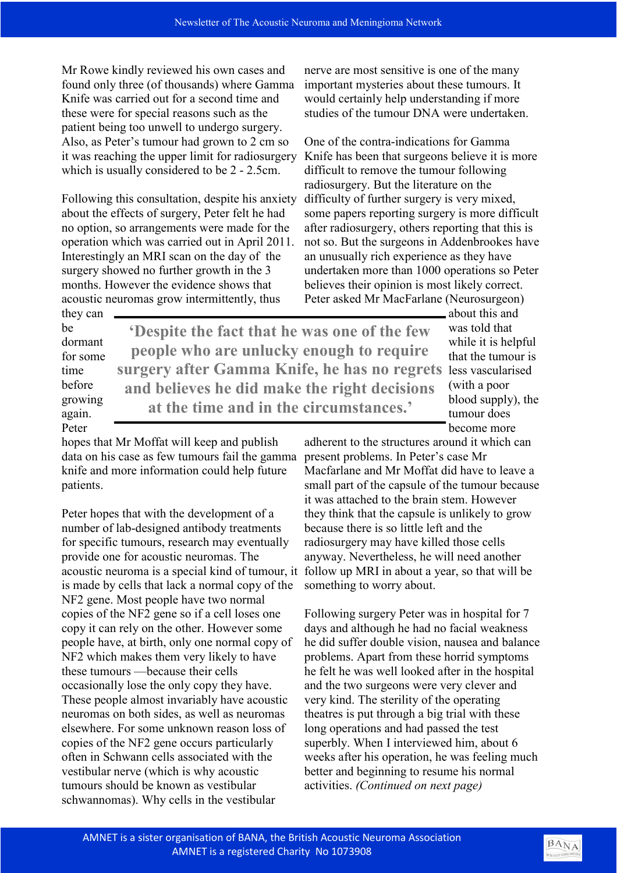Mr Rowe kindly reviewed his own cases and found only three (of thousands) where Gamma Knife was carried out for a second time and these were for special reasons such as the patient being too unwell to undergo surgery. Also, as Peter's tumour had grown to 2 cm so it was reaching the upper limit for radiosurgery which is usually considered to be 2 - 2.5cm.

Following this consultation, despite his anxiety about the effects of surgery, Peter felt he had no option, so arrangements were made for the operation which was carried out in April 2011. Interestingly an MRI scan on the day of the surgery showed no further growth in the 3 months. However the evidence shows that acoustic neuromas grow intermittently, thus

nerve are most sensitive is one of the many important mysteries about these tumours. It would certainly help understanding if more studies of the tumour DNA were undertaken.

One of the contra-indications for Gamma Knife has been that surgeons believe it is more difficult to remove the tumour following radiosurgery. But the literature on the difficulty of further surgery is very mixed, some papers reporting surgery is more difficult after radiosurgery, others reporting that this is not so. But the surgeons in Addenbrookes have an unusually rich experience as they have undertaken more than 1000 operations so Peter believes their opinion is most likely correct. Peter asked Mr MacFarlane (Neurosurgeon)

they can be dormant for some time before growing again. Peter

surgery after Gamma Knife, he has no regrets less vascularised 'Despite the fact that he was one of the few people who are unlucky enough to require and believes he did make the right decisions at the time and in the circumstances.'

about this and was told that while it is helpful that the tumour is (with a poor blood supply), the tumour does become more

hopes that Mr Moffat will keep and publish data on his case as few tumours fail the gamma knife and more information could help future patients.

Peter hopes that with the development of a number of lab-designed antibody treatments for specific tumours, research may eventually provide one for acoustic neuromas. The acoustic neuroma is a special kind of tumour, it is made by cells that lack a normal copy of the NF2 gene. Most people have two normal copies of the NF2 gene so if a cell loses one copy it can rely on the other. However some people have, at birth, only one normal copy of NF2 which makes them very likely to have these tumours —because their cells occasionally lose the only copy they have. These people almost invariably have acoustic neuromas on both sides, as well as neuromas elsewhere. For some unknown reason loss of copies of the NF2 gene occurs particularly often in Schwann cells associated with the vestibular nerve (which is why acoustic tumours should be known as vestibular schwannomas). Why cells in the vestibular

adherent to the structures around it which can present problems. In Peter's case Mr Macfarlane and Mr Moffat did have to leave a small part of the capsule of the tumour because it was attached to the brain stem. However they think that the capsule is unlikely to grow because there is so little left and the radiosurgery may have killed those cells anyway. Nevertheless, he will need another follow up MRI in about a year, so that will be something to worry about.

Following surgery Peter was in hospital for 7 days and although he had no facial weakness he did suffer double vision, nausea and balance problems. Apart from these horrid symptoms he felt he was well looked after in the hospital and the two surgeons were very clever and very kind. The sterility of the operating theatres is put through a big trial with these long operations and had passed the test superbly. When I interviewed him, about 6 weeks after his operation, he was feeling much better and beginning to resume his normal activities. (Continued on next page)